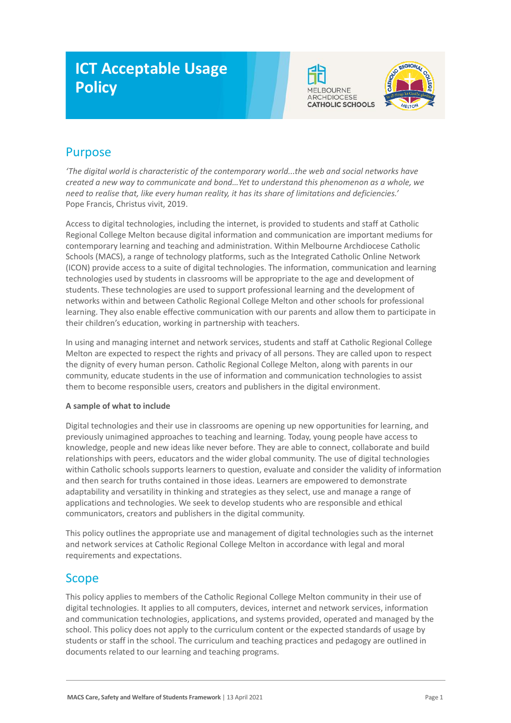# **ICT Acceptable Usage Policy**





# Purpose

*'The digital world is characteristic of the contemporary world...the web and social networks have created a new way to communicate and bond…Yet to understand this phenomenon as a whole, we need to realise that, like every human reality, it has its share of limitations and deficiencies.'* Pope Francis, Christus vivit, 2019.

Access to digital technologies, including the internet, is provided to students and staff at Catholic Regional College Melton because digital information and communication are important mediums for contemporary learning and teaching and administration. Within Melbourne Archdiocese Catholic Schools (MACS), a range of technology platforms, such as the Integrated Catholic Online Network (ICON) provide access to a suite of digital technologies. The information, communication and learning technologies used by students in classrooms will be appropriate to the age and development of students. These technologies are used to support professional learning and the development of networks within and between Catholic Regional College Melton and other schools for professional learning. They also enable effective communication with our parents and allow them to participate in their children's education, working in partnership with teachers.

In using and managing internet and network services, students and staff at Catholic Regional College Melton are expected to respect the rights and privacy of all persons. They are called upon to respect the dignity of every human person. Catholic Regional College Melton, along with parents in our community, educate students in the use of information and communication technologies to assist them to become responsible users, creators and publishers in the digital environment.

#### **A sample of what to include**

Digital technologies and their use in classrooms are opening up new opportunities for learning, and previously unimagined approaches to teaching and learning. Today, young people have access to knowledge, people and new ideas like never before. They are able to connect, collaborate and build relationships with peers, educators and the wider global community. The use of digital technologies within Catholic schools supports learners to question, evaluate and consider the validity of information and then search for truths contained in those ideas. Learners are empowered to demonstrate adaptability and versatility in thinking and strategies as they select, use and manage a range of applications and technologies. We seek to develop students who are responsible and ethical communicators, creators and publishers in the digital community.

This policy outlines the appropriate use and management of digital technologies such as the internet and network services at Catholic Regional College Melton in accordance with legal and moral requirements and expectations.

### Scope

This policy applies to members of the Catholic Regional College Melton community in their use of digital technologies. It applies to all computers, devices, internet and network services, information and communication technologies, applications, and systems provided, operated and managed by the school. This policy does not apply to the curriculum content or the expected standards of usage by students or staff in the school. The curriculum and teaching practices and pedagogy are outlined in documents related to our learning and teaching programs.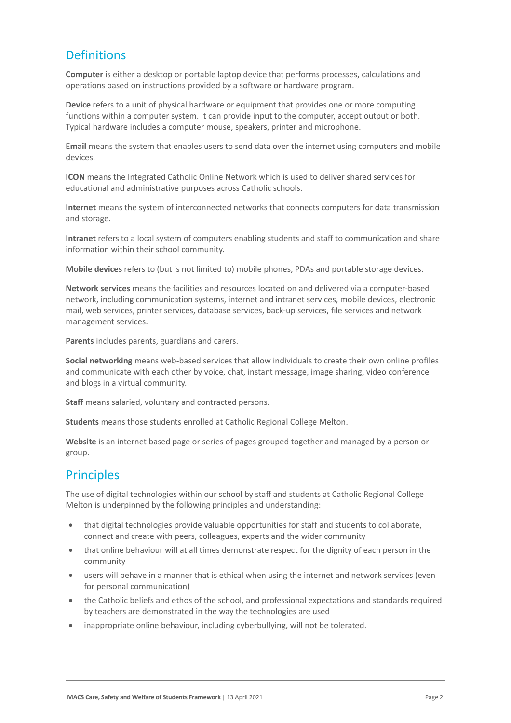## **Definitions**

**Computer** is either a desktop or portable laptop device that performs processes, calculations and operations based on instructions provided by a software or hardware program.

**Device** refers to a unit of physical hardware or equipment that provides one or more computing functions within a computer system. It can provide input to the computer, accept output or both. Typical hardware includes a computer mouse, speakers, printer and microphone.

**Email** means the system that enables users to send data over the internet using computers and mobile devices.

**ICON** means the Integrated Catholic Online Network which is used to deliver shared services for educational and administrative purposes across Catholic schools.

**Internet** means the system of interconnected networks that connects computers for data transmission and storage.

**Intranet** refers to a local system of computers enabling students and staff to communication and share information within their school community.

**Mobile devices** refers to (but is not limited to) mobile phones, PDAs and portable storage devices.

**Network services** means the facilities and resources located on and delivered via a computer-based network, including communication systems, internet and intranet services, mobile devices, electronic mail, web services, printer services, database services, back-up services, file services and network management services.

**Parents** includes parents, guardians and carers.

**Social networking** means web-based services that allow individuals to create their own online profiles and communicate with each other by voice, chat, instant message, image sharing, video conference and blogs in a virtual community.

**Staff** means salaried, voluntary and contracted persons.

**Students** means those students enrolled at Catholic Regional College Melton.

**Website** is an internet based page or series of pages grouped together and managed by a person or group.

### **Principles**

The use of digital technologies within our school by staff and students at Catholic Regional College Melton is underpinned by the following principles and understanding:

- that digital technologies provide valuable opportunities for staff and students to collaborate, connect and create with peers, colleagues, experts and the wider community
- that online behaviour will at all times demonstrate respect for the dignity of each person in the community
- users will behave in a manner that is ethical when using the internet and network services (even for personal communication)
- the Catholic beliefs and ethos of the school, and professional expectations and standards required by teachers are demonstrated in the way the technologies are used
- inappropriate online behaviour, including cyberbullying, will not be tolerated.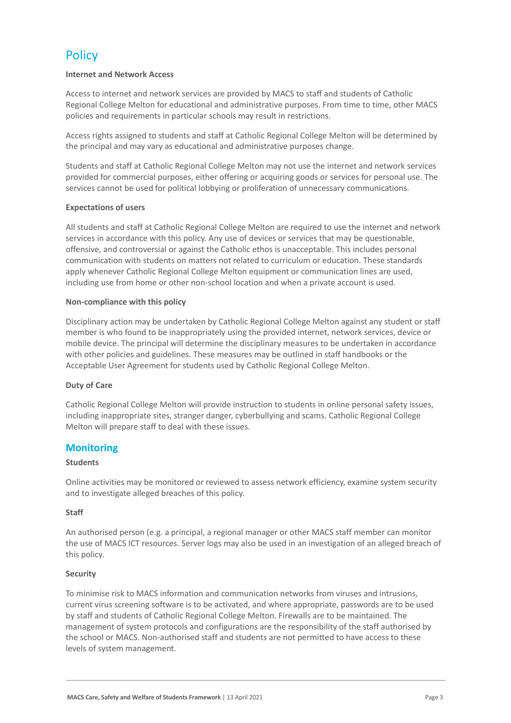# **Policy**

#### **Internet and Network Access**

Access to internet and network services are provided by MACS to staff and students of Catholic Regional College Melton for educational and administrative purposes. From time to time, other MACS policies and requirements in particular schools may result in restrictions.

Access rights assigned to students and staff at Catholic Regional College Melton will be determined by the principal and may vary as educational and administrative purposes change.

Students and staff at Catholic Regional College Melton may not use the internet and network services provided for commercial purposes, either offering or acquiring goods or services for personal use. The services cannot be used for political lobbying or proliferation of unnecessary communications.

#### **Expectations of users**

All students and staff at Catholic Regional College Melton are required to use the internet and network services in accordance with this policy. Any use of devices or services that may be questionable, offensive, and controversial or against the Catholic ethos is unacceptable. This includes personal communication with students on matters not related to curriculum or education. These standards apply whenever Catholic Regional College Melton equipment or communication lines are used, including use from home or other non-school location and when a private account is used.

#### **Non-compliance with this policy**

Disciplinary action may be undertaken by Catholic Regional College Melton against any student or staff member is who found to be inappropriately using the provided internet, network services, device or mobile device. The principal will determine the disciplinary measures to be undertaken in accordance with other policies and guidelines. These measures may be outlined in staff handbooks or the Acceptable User Agreement for students used by Catholic Regional College Melton.

#### **Duty of Care**

Catholic Regional College Melton will provide instruction to students in online personal safety issues, including inappropriate sites, stranger danger, cyberbullying and scams. Catholic Regional College Melton will prepare staff to deal with these issues.

#### **Monitoring**

#### **Students**

Online activities may be monitored or reviewed to assess network efficiency, examine system security and to investigate alleged breaches of this policy.

#### **Staff**

An authorised person (e.g. a principal, a regional manager or other MACS staff member can monitor the use of MACS ICT resources. Server logs may also be used in an investigation of an alleged breach of this policy.

#### **Security**

To minimise risk to MACS information and communication networks from viruses and intrusions, current virus screening software is to be activated, and where appropriate, passwords are to be used by staff and students of Catholic Regional College Melton. Firewalls are to be maintained. The management of system protocols and configurations are the responsibility of the staff authorised by the school or MACS. Non-authorised staff and students are not permitted to have access to these levels of system management.